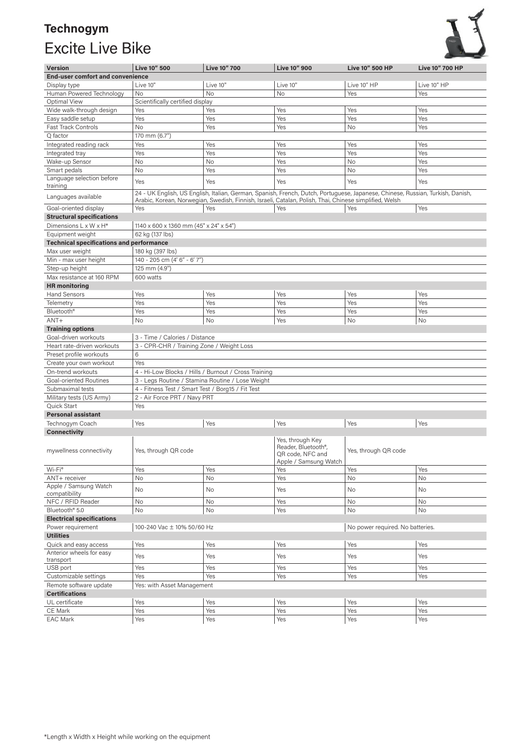## **Technogym**  Excite Live Bike



| <b>Version</b>                                       | Live 10" 500                                                   | <b>Live 10" 700</b> | <b>Live 10" 900</b>                                                                                                                                                                                                                      | Live 10" 500 HP      | <b>Live 10" 700 HP</b> |  |
|------------------------------------------------------|----------------------------------------------------------------|---------------------|------------------------------------------------------------------------------------------------------------------------------------------------------------------------------------------------------------------------------------------|----------------------|------------------------|--|
| <b>End-user comfort and convenience</b>              |                                                                |                     |                                                                                                                                                                                                                                          |                      |                        |  |
| Display type                                         | Live 10"                                                       | Live 10"            | Live 10"                                                                                                                                                                                                                                 | Live 10" HP          | Live 10" HP            |  |
| Human Powered Technology                             | No                                                             | <b>No</b>           | No                                                                                                                                                                                                                                       | Yes                  | Yes                    |  |
| Optimal View                                         | Scientifically certified display                               |                     |                                                                                                                                                                                                                                          |                      |                        |  |
| Wide walk-through design                             | Yes                                                            | Yes                 | Yes                                                                                                                                                                                                                                      | Yes                  | Yes                    |  |
| Easy saddle setup                                    | Yes                                                            | Yes                 | Yes                                                                                                                                                                                                                                      | Yes                  | Yes                    |  |
| <b>Fast Track Controls</b>                           | No                                                             | Yes                 | Yes                                                                                                                                                                                                                                      | No                   | Yes                    |  |
| Q factor                                             | 170 mm (6.7")                                                  |                     |                                                                                                                                                                                                                                          |                      |                        |  |
|                                                      | Yes                                                            | Yes                 | Yes                                                                                                                                                                                                                                      | Yes                  | Yes                    |  |
| Integrated reading rack                              |                                                                |                     |                                                                                                                                                                                                                                          |                      |                        |  |
| Integrated tray<br>Wake-up Sensor                    | Yes                                                            | Yes                 | Yes                                                                                                                                                                                                                                      | Yes                  | Yes                    |  |
|                                                      | No                                                             | No                  | Yes                                                                                                                                                                                                                                      | No                   | Yes                    |  |
| Smart pedals                                         | No                                                             | Yes                 | Yes                                                                                                                                                                                                                                      | <b>No</b>            | Yes                    |  |
| Language selection before<br>training                | Yes                                                            | Yes                 | Yes                                                                                                                                                                                                                                      | Yes                  | Yes                    |  |
| Languages available                                  |                                                                |                     | 24 - UK English, US English, Italian, German, Spanish, French, Dutch, Portuguese, Japanese, Chinese, Russian, Turkish, Danish,<br>Arabic, Korean, Norwegian, Swedish, Finnish, Israeli, Catalan, Polish, Thai, Chinese simplified, Welsh |                      |                        |  |
| Goal-oriented display                                | Yes                                                            | Yes                 | Yes                                                                                                                                                                                                                                      | Yes                  | Yes                    |  |
| <b>Structural specifications</b>                     |                                                                |                     |                                                                                                                                                                                                                                          |                      |                        |  |
| Dimensions L x W x H*                                | 1140 x 600 x 1360 mm (45" x 24" x 54")                         |                     |                                                                                                                                                                                                                                          |                      |                        |  |
| Equipment weight                                     | 62 kg (137 lbs)                                                |                     |                                                                                                                                                                                                                                          |                      |                        |  |
| <b>Technical specifications and performance</b>      |                                                                |                     |                                                                                                                                                                                                                                          |                      |                        |  |
| Max user weight                                      | 180 kg (397 lbs)                                               |                     |                                                                                                                                                                                                                                          |                      |                        |  |
| Min - max user height                                | 140 - 205 cm (4' 6" - 6' 7")                                   |                     |                                                                                                                                                                                                                                          |                      |                        |  |
| Step-up height                                       |                                                                |                     |                                                                                                                                                                                                                                          |                      |                        |  |
| Max resistance at 160 RPM                            | 125 mm (4.9")<br>600 watts                                     |                     |                                                                                                                                                                                                                                          |                      |                        |  |
|                                                      |                                                                |                     |                                                                                                                                                                                                                                          |                      |                        |  |
| <b>HR</b> monitoring                                 |                                                                |                     |                                                                                                                                                                                                                                          |                      |                        |  |
| <b>Hand Sensors</b>                                  | Yes                                                            | Yes                 | Yes                                                                                                                                                                                                                                      | Yes                  | Yes                    |  |
| Telemetry                                            | Yes                                                            | Yes                 | Yes                                                                                                                                                                                                                                      | Yes                  | Yes                    |  |
| Bluetooth <sup>®</sup>                               | Yes                                                            | Yes                 | Yes                                                                                                                                                                                                                                      | Yes                  | Yes                    |  |
| $ANT+$                                               | No                                                             | No                  | Yes                                                                                                                                                                                                                                      | No                   | No                     |  |
| <b>Training options</b>                              |                                                                |                     |                                                                                                                                                                                                                                          |                      |                        |  |
| Goal-driven workouts                                 | 3 - Time / Calories / Distance                                 |                     |                                                                                                                                                                                                                                          |                      |                        |  |
| Heart rate-driven workouts                           | 3 - CPR-CHR / Training Zone / Weight Loss                      |                     |                                                                                                                                                                                                                                          |                      |                        |  |
| Preset profile workouts                              | 6                                                              |                     |                                                                                                                                                                                                                                          |                      |                        |  |
| Create your own workout                              | Yes                                                            |                     |                                                                                                                                                                                                                                          |                      |                        |  |
| On-trend workouts                                    | 4 - Hi-Low Blocks / Hills / Burnout / Cross Training           |                     |                                                                                                                                                                                                                                          |                      |                        |  |
| Goal-oriented Routines                               | 3 - Legs Routine / Stamina Routine / Lose Weight               |                     |                                                                                                                                                                                                                                          |                      |                        |  |
| Submaximal tests                                     | 4 - Fitness Test / Smart Test / Borg15 / Fit Test              |                     |                                                                                                                                                                                                                                          |                      |                        |  |
| Military tests (US Army)                             | 2 - Air Force PRT / Navy PRT                                   |                     |                                                                                                                                                                                                                                          |                      |                        |  |
| Quick Start                                          | Yes                                                            |                     |                                                                                                                                                                                                                                          |                      |                        |  |
| <b>Personal assistant</b>                            |                                                                |                     |                                                                                                                                                                                                                                          |                      |                        |  |
| Technogym Coach                                      | Yes                                                            | Yes                 | Yes                                                                                                                                                                                                                                      | Yes                  | Yes                    |  |
| <b>Connectivity</b>                                  |                                                                |                     |                                                                                                                                                                                                                                          |                      |                        |  |
| mywellness connectivity                              | Yes, through QR code                                           |                     | Yes, through Key<br>Reader, Bluetooth <sup>®</sup> ,<br>QR code, NFC and<br>Apple / Samsung Watch                                                                                                                                        | Yes, through QR code |                        |  |
| Wi-Fi®                                               | Yes                                                            | Yes                 | Yes                                                                                                                                                                                                                                      | Yes                  | Yes                    |  |
| ANT+ receiver                                        | No                                                             | No                  | Yes                                                                                                                                                                                                                                      | No                   | No                     |  |
| Apple / Samsung Watch<br>compatibility               | No                                                             | No                  | Yes                                                                                                                                                                                                                                      | No                   | No                     |  |
| NFC / RFID Reader                                    | No                                                             | No                  | Yes                                                                                                                                                                                                                                      | No                   | No                     |  |
| Bluetooth <sup>®</sup> 5.0                           | No                                                             | No                  | Yes                                                                                                                                                                                                                                      | No                   | No                     |  |
| <b>Electrical specifications</b>                     |                                                                |                     |                                                                                                                                                                                                                                          |                      |                        |  |
|                                                      |                                                                |                     |                                                                                                                                                                                                                                          |                      |                        |  |
| Power requirement                                    | No power required. No batteries.<br>100-240 Vac ± 10% 50/60 Hz |                     |                                                                                                                                                                                                                                          |                      |                        |  |
| <b>Utilities</b>                                     |                                                                |                     |                                                                                                                                                                                                                                          |                      |                        |  |
| Quick and easy access                                | Yes                                                            | Yes                 | Yes                                                                                                                                                                                                                                      | Yes                  | Yes                    |  |
| Anterior wheels for easy<br>transport                | Yes                                                            | Yes                 | Yes                                                                                                                                                                                                                                      | Yes                  | Yes                    |  |
| USB port                                             | Yes                                                            | Yes                 | Yes                                                                                                                                                                                                                                      | Yes                  | Yes                    |  |
| Customizable settings                                | Yes                                                            | Yes                 | Yes                                                                                                                                                                                                                                      | Yes                  | Yes                    |  |
| Remote software update<br>Yes: with Asset Management |                                                                |                     |                                                                                                                                                                                                                                          |                      |                        |  |
| <b>Certifications</b>                                |                                                                |                     |                                                                                                                                                                                                                                          |                      |                        |  |
| UL certificate                                       | Yes                                                            | Yes                 | Yes                                                                                                                                                                                                                                      | Yes                  | Yes                    |  |
| CE Mark                                              | Yes                                                            | Yes                 | Yes                                                                                                                                                                                                                                      | Yes                  | Yes                    |  |
| <b>EAC Mark</b>                                      | Yes                                                            | Yes                 | Yes                                                                                                                                                                                                                                      | Yes                  | Yes                    |  |